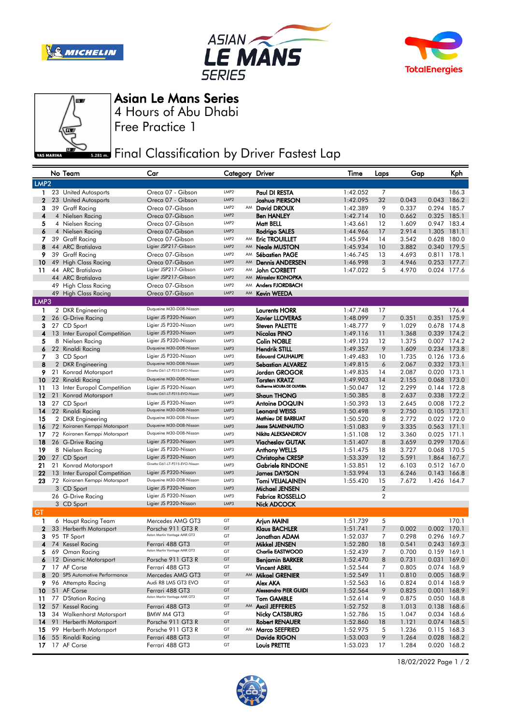







Asian Le Mans Series

Free Practice 1 4 Hours of Abu Dhabi

**Final Classification by Driver Fastest Lap** 

|              |                  | No Team                                   | Car                                               |                                      |    | Category Driver                                    | Time                 | Laps           | Gap            |                            | Kph                        |
|--------------|------------------|-------------------------------------------|---------------------------------------------------|--------------------------------------|----|----------------------------------------------------|----------------------|----------------|----------------|----------------------------|----------------------------|
|              | LMP <sub>2</sub> |                                           |                                                   |                                      |    |                                                    |                      |                |                |                            |                            |
| $\mathbf{1}$ |                  | 23 United Autosports                      | Oreca 07 - Gibson                                 | LMP <sub>2</sub>                     |    | Paul DI RESTA                                      | 1:42.052             | 7              |                |                            | 186.3                      |
| $\mathbf{2}$ |                  | 23 United Autosports                      | Oreca 07 - Gibson                                 | LMP <sub>2</sub>                     |    | Joshua PIERSON                                     | 1:42.095             | 32             | 0.043          |                            | 0.043 186.2                |
| 3            |                  | 39 Graff Racing                           | Oreca 07-Gibson                                   | LMP <sub>2</sub>                     |    | AM David DROUX                                     | 1:42.389             | 9              | 0.337          | 0.294 185.7                |                            |
| 4            |                  | 4 Nielsen Racing                          | Oreca 07-Gibson                                   | LMP <sub>2</sub>                     |    | <b>Ben HANLEY</b>                                  | 1:42.714             | 10             | 0.662          | 0.325 185.1                |                            |
| 5            |                  | 4 Nielsen Racing                          | Oreca 07-Gibson                                   | LMP <sub>2</sub>                     |    | Matt BELL                                          | 1:43.661             | 12             | 1.609          | 0.947 183.4                |                            |
| 6            |                  | 4 Nielsen Racing                          | Oreca 07-Gibson                                   | LMP <sub>2</sub>                     |    | Rodrigo SALES                                      | 1:44.966             | 17             | 2.914          | 1.305 181.1                |                            |
| 7            |                  | 39 Graff Racing                           | Oreca 07-Gibson                                   | LMP <sub>2</sub><br>LMP <sub>2</sub> |    | AM Eric TROUILLET                                  | 1:45.594             | 14             | 3.542          | 0.628 180.0                |                            |
| 8<br>9       |                  | 44 ARC Bratislava<br>39 Graff Racing      | Ligier JSP217-Gibson<br>Oreca 07-Gibson           | LMP <sub>2</sub>                     | AM | <b>Neale MUSTON</b><br>AM Sébastien PAGE           | 1:45.934<br>1:46.745 | 10<br>13       | 3.882<br>4.693 | 0.340<br>0.811 178.1       | 179.5                      |
| 10           |                  | 49 High Class Racing                      | Oreca 07-Gibson                                   | LMP <sub>2</sub>                     | AM | <b>Dennis ANDERSEN</b>                             | 1:46.998             | 3              | 4.946          | 0.253 177.7                |                            |
| 11           |                  | 44 ARC Bratislava                         | Ligier JSP217-Gibson                              | LMP <sub>2</sub>                     | AM | John CORBETT                                       | 1:47.022             | 5              | 4.970          | 0.024 177.6                |                            |
|              |                  | 44 ARC Bratislava                         | Ligier JSP217-Gibson                              | LMP <sub>2</sub>                     |    | AM Miroslav KONOPKA                                |                      |                |                |                            |                            |
|              |                  | 49 High Class Racing                      | Oreca 07-Gibson                                   | LMP <sub>2</sub>                     |    | AM Anders FJORDBACH                                |                      |                |                |                            |                            |
|              |                  | 49 High Class Racing                      | Oreca 07-Gibson                                   | LMP <sub>2</sub>                     | AM | <b>Kevin WEEDA</b>                                 |                      |                |                |                            |                            |
| LMP3         |                  |                                           |                                                   |                                      |    |                                                    |                      |                |                |                            |                            |
| 1            |                  | 2 DKR Engineering                         | Duqueine M30-D08-Nissan                           | LMP3                                 |    | <b>Laurents HORR</b>                               | 1:47.748             | 17             |                |                            | 176.4                      |
| $\mathbf{z}$ |                  | 26 G-Drive Racing                         | Ligier JS P320-Nissan                             | LMP3                                 |    | <b>Xavier LLOVERAS</b>                             | 1:48.099             | 7              | 0.351          | 0.351                      | 175.9                      |
| 3            |                  | 27 CD Sport                               | Ligier JS P320-Nissan                             | LMP3                                 |    | <b>Steven PALETTE</b>                              | 1:48.777             | 9              | 1.029          | 0.678 174.8                |                            |
| 4            |                  | 13 Inter Europol Competition              | Ligier JS P320-Nissan                             | LMP3                                 |    | Nicolas PINO                                       | 1:49.116             | 11             | 1.368          |                            | 0.339 174.2                |
| 5            |                  | 8 Nielsen Racing                          | Ligier JS P320-Nissan<br>Duqueine M30-D08-Nissan  | LMP3                                 |    | <b>Colin NOBLE</b>                                 | 1:49.123             | 12             | 1.375          |                            | 0.007 174.2                |
| 6            |                  | 22 Rinaldi Racing                         |                                                   | LMP3                                 |    | <b>Hendrik STILL</b>                               | 1:49.357             | 9              | 1.609          | 0.234 173.8                |                            |
| 7            |                  | 3 CD Sport                                | Ligier JS P320-Nissan<br>Duqueine M30-D08-Nissan  | LMP3<br>LMP3                         |    | <b>Edouard CAUHAUPE</b>                            | 1:49.483             | 10             | 1.735          | 0.126 173.6                |                            |
| 8<br>9       |                  | 2 DKR Engineering<br>21 Konrad Motorsport | Ginetta G61-LT-P315-EVO-Nissan                    | LMP3                                 |    | Sebastian ALVAREZ<br>Jordan GROGOR                 | 1:49.815<br>1:49.835 | 6<br>14        | 2.067<br>2.087 | 0.332 173.1<br>0.020 173.1 |                            |
| 10           |                  | 22 Rinaldi Racing                         | Duqueine M30-D08-Nissan                           | LMP3                                 |    | <b>Torsten KRATZ</b>                               | 1:49.903             | 14             | 2.155          | 0.068 173.0                |                            |
| 11           |                  | 13 Inter Europol Competition              | Ligier JS P320-Nissan                             | LMP3                                 |    | Guilherme MOURA DE OLIVEIRA                        | 1:50.047             | 12             | 2.299          | 0.144 172.8                |                            |
| 12           |                  | 21 Konrad Motorsport                      | Ginetta G61-LT-P315-EVO-Nissan                    | LMP3                                 |    | <b>Shaun THONG</b>                                 | 1:50.385             | 8              | 2.637          | 0.338 172.2                |                            |
| 13           |                  | 27 CD Sport                               | Ligier JS P320-Nissan                             | LMP3                                 |    | Antoine DOQUIN                                     | 1:50.393             | 13             | 2.645          |                            | 0.008 172.2                |
| 14           |                  | 22 Rinaldi Racing                         | Duqueine M30-D08-Nissan                           | LMP3                                 |    | <b>Leonard WEISS</b>                               | 1:50.498             | 9              | 2.750          | 0.105 172.1                |                            |
| 15           |                  | 2 DKR Engineering                         | Duqueine M30-D08-Nissan                           | LMP3                                 |    | Mathieu DE BARBUAT                                 | 1:50.520             | 8              | 2.772          | 0.022 172.0                |                            |
| 16           | 72               | Koiranen Kemppi Motorsport                | Duqueine M30-D08-Nissan                           | LMP3                                 |    | <b>Jesse SALMENAUTIO</b>                           | 1:51.083             | 9              | 3.335          | 0.563 171.1                |                            |
| 17           |                  | 72 Koiranen Kemppi Motorsport             | Duqueine M30-D08-Nissan                           | LMP3                                 |    | Nikita ALEKSANDROV                                 | 1:51.108             | 12             | 3.360          | 0.025 171.1                |                            |
| 18           |                  | 26 G-Drive Racing                         | Ligier JS P320-Nissan                             | LMP3                                 |    | <b>Viacheslav GUTAK</b>                            | 1:51.407             | 8              | 3.659          | 0.299 170.6                |                            |
| 19           |                  | 8 Nielsen Racing                          | Ligier JS P320-Nissan<br>Ligier JS P320-Nissan    | LMP3<br>LMP3                         |    | <b>Anthony WELLS</b>                               | 1:51.475             | 18             | 3.727          | 0.068 170.5                |                            |
| 20<br>21     |                  | 27 CD Sport<br>21 Konrad Motorsport       | Ginetta G61-LT-P315-EVO-Nissan                    | LMP3                                 |    | <b>Christophe CRESP</b><br><b>Gabriele RINDONE</b> | 1:53.339<br>1:53.851 | 12<br>12       | 5.591<br>6.103 | 1.864 167.7<br>0.512 167.0 |                            |
| 22           |                  | 13 Inter Europol Competition              | Ligier JS P320-Nissan                             | LMP3                                 |    | <b>James DAYSON</b>                                | 1:53.994             | 13             | 6.246          | 0.143 166.8                |                            |
| 23           |                  | 72 Koiranen Kemppi Motorsport             | Duqueine M30-D08-Nissan                           | LMP3                                 |    | Tomi VEIJALAINEN                                   | 1:55.420             | 15             | 7.672          | 1.426 164.7                |                            |
|              |                  | 3 CD Sport                                | Ligier JS P320-Nissan                             | LMP3                                 |    | Michael JENSEN                                     |                      | $\overline{2}$ |                |                            |                            |
|              |                  | 26 G-Drive Racing                         | Ligier JS P320-Nissan                             | LMP3                                 |    | <b>Fabrice ROSSELLO</b>                            |                      | $\overline{2}$ |                |                            |                            |
|              |                  | 3 CD Sport                                | Ligier JS P320-Nissan                             | LMP3                                 |    | Nick ADCOCK                                        |                      |                |                |                            |                            |
| GT           |                  |                                           |                                                   |                                      |    |                                                    |                      |                |                |                            |                            |
| 1            |                  | 6 Haupt Racing Team                       | Mercedes AMG GT3                                  | GT                                   |    | Arjun MAINI                                        | 1:51.739             | 5              |                |                            | 170.1                      |
| $\mathbf{2}$ |                  | 33 Herberth Motorsport                    | Porsche 911 GT3 R<br>Aston Martin Vantage AMR GT3 | GT                                   |    | <b>Klaus BACHLER</b>                               | 1:51.741             | 7              | 0.002          | 0.002 170.1                |                            |
| 3            |                  | 95 TF Sport                               |                                                   | GT<br>GT                             |    | Jonathan ADAM                                      | 1:52.037             | 7              | 0.298          |                            | 0.296 169.7                |
| 4<br>5       |                  | 74 Kessel Racing<br>69 Oman Racing        | Ferrari 488 GT3<br>Aston Martin Vantage AMR GT3   | GT                                   |    | Mikkel JENSEN<br><b>Charlie EASTWOOD</b>           | 1:52.280<br>1:52.439 | 18<br>7        | 0.541<br>0.700 | 0.243 169.3                | 0.159 169.1                |
|              |                  | 6 12 Dinamic Motorsport                   | Porsche 911 GT3 R                                 | GT                                   |    | <b>Benjamin BARKER</b>                             | 1:52.470             | 8              | 0.731          |                            | 0.031 169.0                |
| 7            |                  | 17 AF Corse                               | Ferrari 488 GT3                                   | GT                                   |    | <b>Vincent ABRIL</b>                               | 1:52.544             | 7              | 0.805          |                            | 0.074 168.9                |
| 8            |                  | 20 SPS Automotive Performance             | Mercedes AMG GT3                                  | GT                                   |    | AM Mikael GRENIER                                  | 1:52.549             | 11             | 0.810          |                            | 0.005 168.9                |
| 9            |                  | 96 Attempto Racing                        | Audi R8 LMS GT3 EVO                               | GT                                   |    | Alex AKA                                           | 1:52.563             | 16             | 0.824          |                            | 0.014 168.9                |
| 10           |                  | 51 AF Corse                               | Ferrari 488 GT3                                   | GT                                   |    | Alessandro PIER GUIDI                              | 1:52.564             | 9              | 0.825          |                            | 0.001 168.9                |
| 11           |                  | 77 D'Station Racing                       | Aston Martin Vantage AMR GT3                      | GT                                   |    | <b>Tom GAMBLE</b>                                  | 1:52.614             | 9              | 0.875          |                            | 0.050 168.8                |
| 12           |                  | 57 Kessel Racing                          | Ferrari 488 GT3                                   | GT                                   |    | AM Axcil JEFFERIES                                 | 1:52.752             | 8              | 1.013          |                            | 0.138 168.6                |
| 13           |                  | 34 Walkenhorst Motorsport                 | BMW M4 GT3                                        | GT                                   |    | <b>Nicky CATSBURG</b>                              | 1:52.786             | 15             | 1.047          |                            | 0.034 168.6                |
| 14           |                  | 91 Herberth Motorsport                    | Porsche 911 GT3 R                                 | GT                                   |    | <b>Robert RENAUER</b>                              | 1:52.860             | 18             | 1.121          |                            | 0.074 168.5                |
| 15           |                  | 99 Herberth Motorsport                    | Porsche 911 GT3 R                                 | GT<br>GT                             |    | AM Marco SEEFRIED                                  | 1:52.975             | 5              | 1.236          |                            | 0.115 168.3                |
| 16<br>17     |                  | 55 Rinaldi Racing<br>17 AF Corse          | Ferrari 488 GT3<br>Ferrari 488 GT3                | GT                                   |    | Davide RIGON<br>Louis PRETTE                       | 1:53.003<br>1:53.023 | 9<br>17        | 1.264<br>1.284 |                            | 0.028 168.2<br>0.020 168.2 |
|              |                  |                                           |                                                   |                                      |    |                                                    |                      |                |                |                            |                            |



18/02/2022 Page 1 / 2